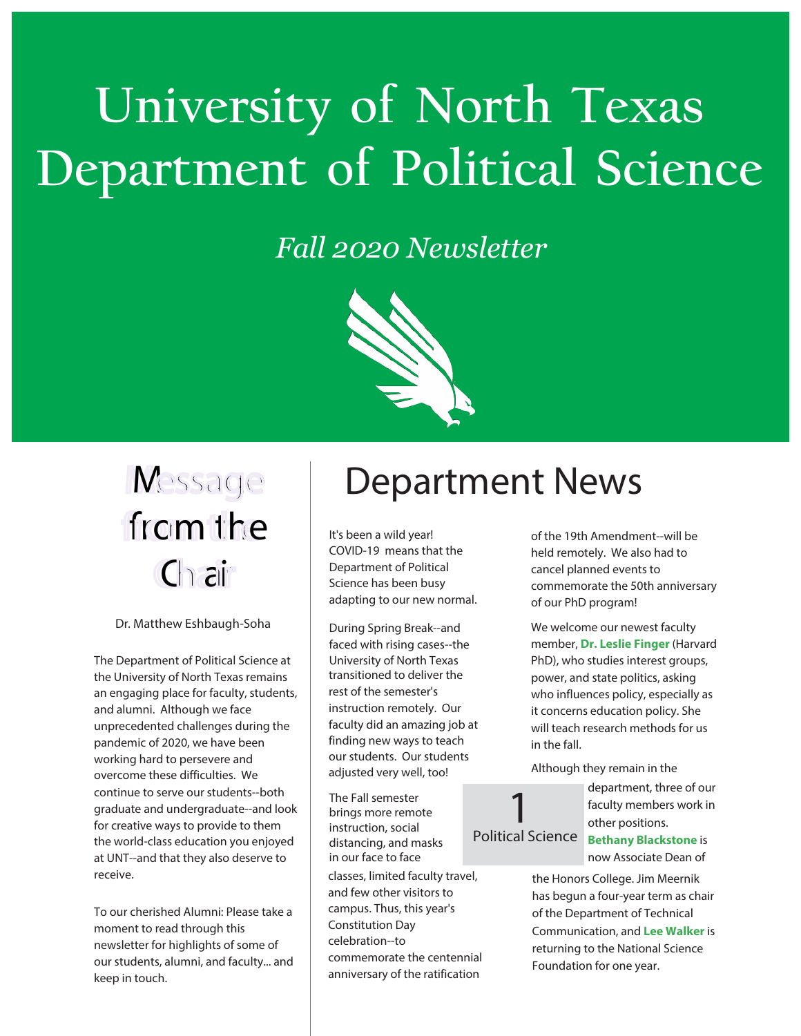# **University of North Texas Department of Political Science**

### *Fall 2020 Newsletter*



# from the  $C \cap \overline{c}$

Dr. Matthew Eshbaugh-Soha

The Department of Political Science at the University of North Texas remains an engaging place for faculty, students, and alumni. Although we face unprecedented challenges during the pandemic of 2020, we have been working hard to persevere and overcome these difficulties. We continue to serve our students--both graduate and undergraduate--and look for creative ways to provide to them the world-class education you enjoyed at UNT--and that they also deserve to receive.

To our cherished Alumni: Please take a moment to read through this newsletter for highlights of some of our students, alumni, and faculty... and keep in touch.

### Message | Department News

It's been a wild year! COVID-19 means that the Department of Political Science has been busy adapting to our new normal.

During Spring Break--and faced with rising cases--the University of North Texas transitioned to deliver the rest of the semester's instruction remotely. Our faculty did an amazing job at finding new ways to teach our students. Our students adjusted very well, too!

The Fall semester brings more remote instruction, social distancing, and masks in our face to face

classes, limited faculty travel, and few other visitors to campus. Thus, this year's Constitution Day celebration--to commemorate the centennial anniversary of the ratification

of the 19th Amendment--will be held remotely. We also had to cancel planned events to commemorate the 50th anniversary of our PhD program!

We welcome our newest faculty member, **Dr. Leslie Finger** (Harvard PhD), who studies interest groups, power, and state politics, asking who influences policy, especially as it concerns education policy. She will teach research methods for us in the fall.

Although they remain in the

department, three of our faculty members work in other positions.

Political Science

1

**Bethany Blackstone** is now Associate Dean of

the Honors College. Jim Meernik has begun a four-year term as chair of the Department of Technical Communication, and **Lee Walker** is returning to the National Science Foundation for one year.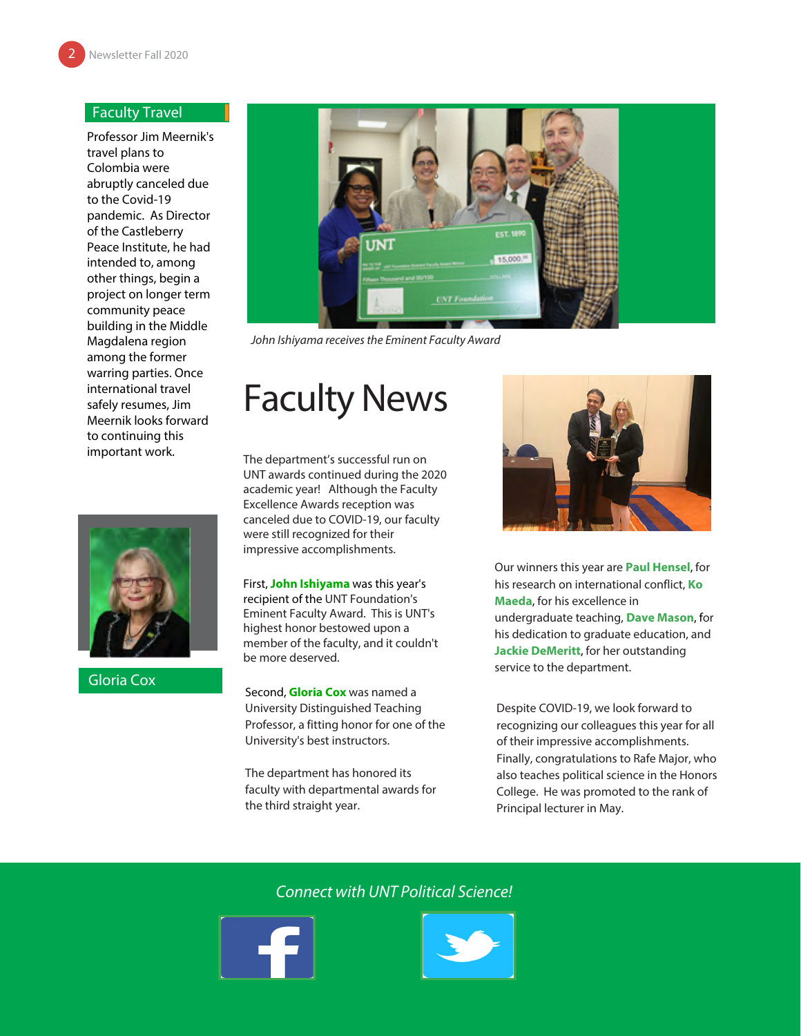#### Faculty Travel

Professor Jim Meernik's travel plans to Colombia were abruptly canceled due to the Covid-19 pandemic. As Director of the Castleberry Peace Institute, he had intended to, among other things, begin a project on longer term community peace building in the Middle Magdalena region among the former warring parties. Once international travel safely resumes, Jim Meernik looks forward to continuing this important work.



Gloria Cox



John Ishiyama receives the Eminent Faculty Award

### Faculty News

The department's successful run on UNT awards continued during the 2020 academic year! Although the Faculty Excellence Awards reception was canceled due to COVID-19, our faculty were still recognized for their impressive accomplishments.

First, **John Ishiyama** was this year's recipient of the UNT Foundation's Eminent Faculty Award. This is UNT's highest honor bestowed upon a member of the faculty, and it couldn't be more deserved.

Second, **Gloria Cox** was named a University Distinguished Teaching Professor, a fitting honor for one of the University's best instructors.

The department has honored its faculty with departmental awards for the third straight year.



Our winners this year are **Paul Hensel**, for his research on international conflict, **Ko Maeda**, for his excellence in undergraduate teaching, **Dave Mason**, for his dedication to graduate education, and **Jackie DeMeritt**, for her outstanding service to the department.

Despite COVID-19, we look forward to recognizing our colleagues this year for all of their impressive accomplishments. Finally, congratulations to Rafe Major, who also teaches political science in the Honors College. He was promoted to the rank of Principal lecturer in May.

### Connect with UNT Political Science!



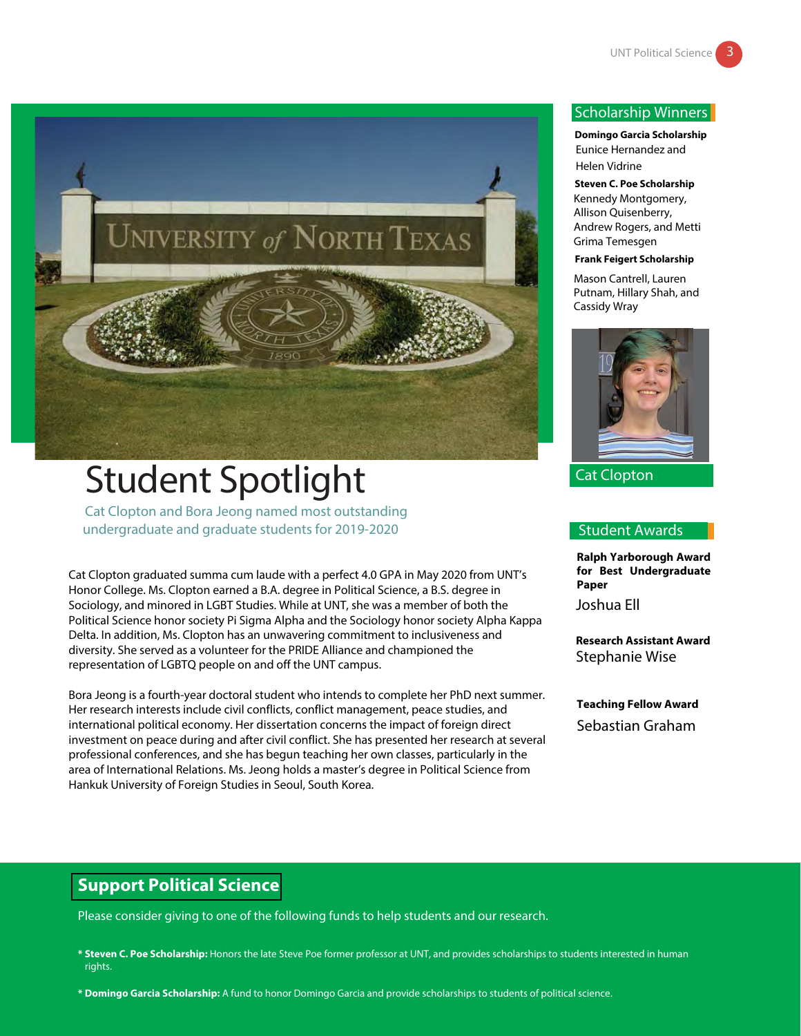

## Student Spotlight

Cat Clopton and Bora Jeong named most outstanding undergraduate and graduate students for 2019-2020

Cat Clopton graduated summa cum laude with a perfect 4.0 GPA in May 2020 from UNT's Honor College. Ms. Clopton earned a B.A. degree in Political Science, a B.S. degree in Sociology, and minored in LGBT Studies. While at UNT, she was a member of both the Political Science honor society Pi Sigma Alpha and the Sociology honor society Alpha Kappa Delta. In addition, Ms. Clopton has an unwavering commitment to inclusiveness and diversity. She served as a volunteer for the PRIDE Alliance and championed the representation of LGBTQ people on and off the UNT campus.

Bora Jeong is a fourth-year doctoral student who intends to complete her PhD next summer. Her research interests include civil conflicts, conflict management, peace studies, and international political economy. Her dissertation concerns the impact of foreign direct investment on peace during and after civil conflict. She has presented her research at several professional conferences, and she has begun teaching her own classes, particularly in the area of International Relations. Ms. Jeong holds a master's degree in Political Science from Hankuk University of Foreign Studies in Seoul, South Korea.

#### Scholarship Winners

**Domingo Garcia Scholarship** Eunice Hernandez and Helen Vidrine

**Steven C. Poe Scholarship** Kennedy Montgomery, Allison Quisenberry, Andrew Rogers, and Metti Grima Temesgen

#### **Frank Feigert Scholarship**

Mason Cantrell, Lauren Putnam, Hillary Shah, and Cassidy Wray



Cat Clopton

#### Student Awards

**Ralph Yarborough Award for Best Undergraduate Paper**

Joshua Ell

**Research Assistant Award** Stephanie Wise

**Teaching Fellow Award** Sebastian Graham

### **Support Political Science**

Please consider giving to one of the following funds to help students and our research.

**\* Steven C. Poe Scholarship:** Honors the late Steve Poe former professor at UNT, and provides scholarships to students interested in human rights.

**\* Domingo Garcia Scholarship:** A fund to honor Domingo Garcia and provide scholarships to students of political science.